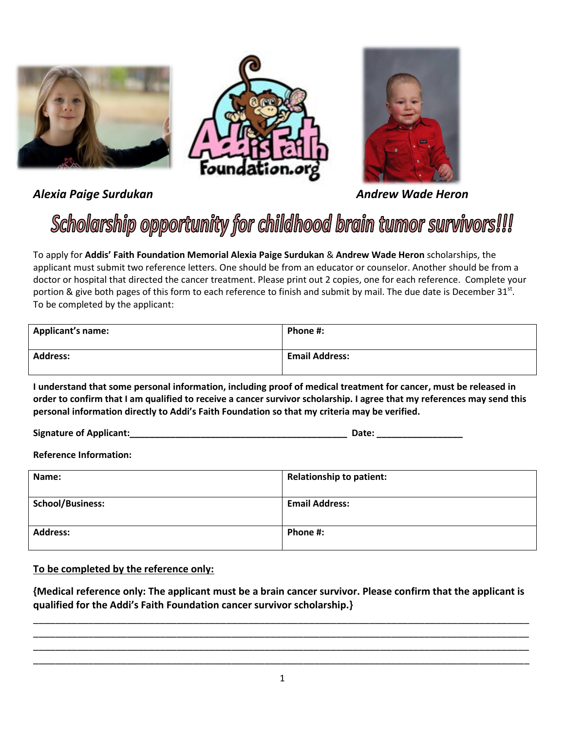

*Alexia Paige Surdukan Andrew Wade Heron*

## Scholarship opportunity for childhood brain tumor survivors!!!

Foundation.

To apply for **Addis' Faith Foundation Memorial Alexia Paige Surdukan** & **Andrew Wade Heron** scholarships, the applicant must submit two reference letters. One should be from an educator or counselor. Another should be from a doctor or hospital that directed the cancer treatment. Please print out 2 copies, one for each reference. Complete your portion & give both pages of this form to each reference to finish and submit by mail. The due date is December  $31^{st}$ . To be completed by the applicant:

| <b>Applicant's name:</b> | Phone #:              |
|--------------------------|-----------------------|
| <b>Address:</b>          | <b>Email Address:</b> |

**I understand that some personal information, including proof of medical treatment for cancer, must be released in order to confirm that I am qualified to receive a cancer survivor scholarship. I agree that my references may send this personal information directly to Addi's Faith Foundation so that my criteria may be verified.** 

**Signature of Applicant:\_\_\_\_\_\_\_\_\_\_\_\_\_\_\_\_\_\_\_\_\_\_\_\_\_\_\_\_\_\_\_\_\_\_\_\_\_\_\_\_\_\_\_ Date: \_\_\_\_\_\_\_\_\_\_\_\_\_\_\_\_\_** 

**Reference Information:**

| Name:                   | <b>Relationship to patient:</b> |
|-------------------------|---------------------------------|
| <b>School/Business:</b> | <b>Email Address:</b>           |
| <b>Address:</b>         | Phone #:                        |

**To be completed by the reference only:** 

**{Medical reference only: The applicant must be a brain cancer survivor. Please confirm that the applicant is qualified for the Addi's Faith Foundation cancer survivor scholarship.}**

\_\_\_\_\_\_\_\_\_\_\_\_\_\_\_\_\_\_\_\_\_\_\_\_\_\_\_\_\_\_\_\_\_\_\_\_\_\_\_\_\_\_\_\_\_\_\_\_\_\_\_\_\_\_\_\_\_\_\_\_\_\_\_\_\_\_\_\_\_\_\_\_\_\_\_\_\_\_\_\_\_\_\_\_\_\_\_\_\_\_ \_\_\_\_\_\_\_\_\_\_\_\_\_\_\_\_\_\_\_\_\_\_\_\_\_\_\_\_\_\_\_\_\_\_\_\_\_\_\_\_\_\_\_\_\_\_\_\_\_\_\_\_\_\_\_\_\_\_\_\_\_\_\_\_\_\_\_\_\_\_\_\_\_\_\_\_\_\_\_\_\_\_\_\_\_\_\_\_\_\_ \_\_\_\_\_\_\_\_\_\_\_\_\_\_\_\_\_\_\_\_\_\_\_\_\_\_\_\_\_\_\_\_\_\_\_\_\_\_\_\_\_\_\_\_\_\_\_\_\_\_\_\_\_\_\_\_\_\_\_\_\_\_\_\_\_\_\_\_\_\_\_\_\_\_\_\_\_\_\_\_\_\_\_\_\_\_\_\_\_\_ \_\_\_\_\_\_\_\_\_\_\_\_\_\_\_\_\_\_\_\_\_\_\_\_\_\_\_\_\_\_\_\_\_\_\_\_\_\_\_\_\_\_\_\_\_\_\_\_\_\_\_\_\_\_\_\_\_\_\_\_\_\_\_\_\_\_\_\_\_\_\_\_\_\_\_\_\_\_\_\_\_\_\_\_\_\_\_\_\_\_